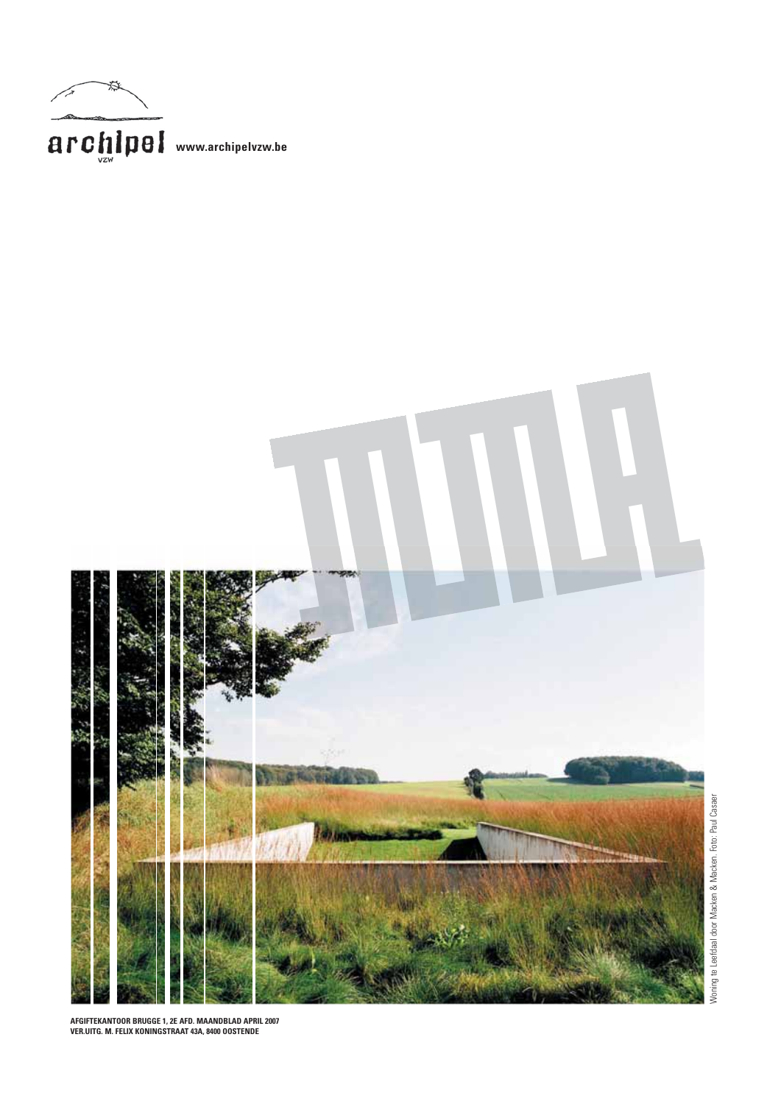



AFGIFTEKANTOOR BRUGGE 1, 2E AFD. MAANDBLAD APRIL 2007<br>VER.UITG. M. FELIX KONINGSTRAAT 43A, 8400 OOSTENDE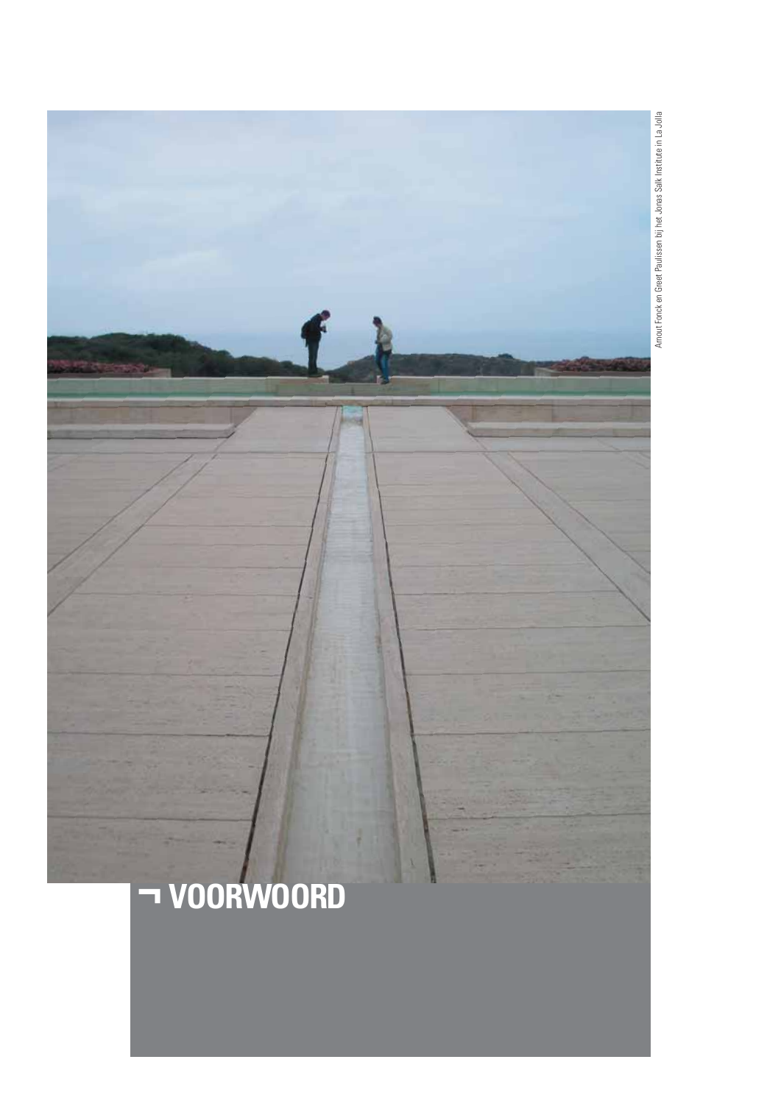

Arnout Fonck en Greet Paulissen bij het Jonas Salk Institute in La Jolla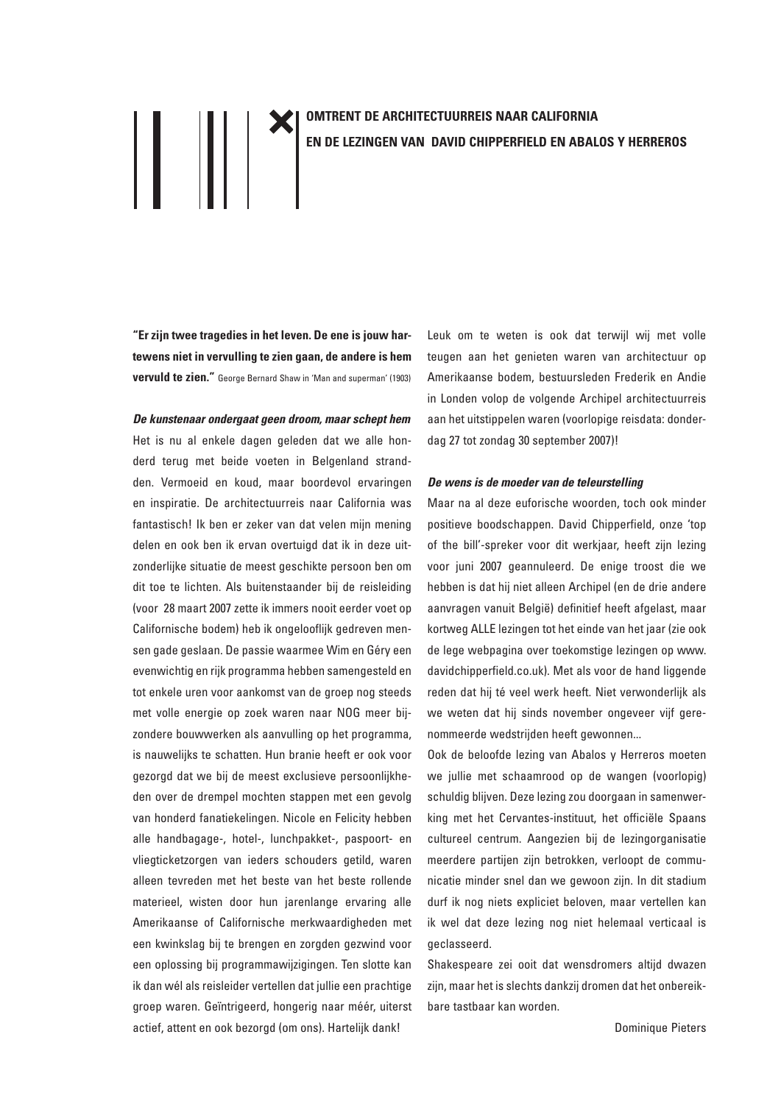# $\left\| \;\right\|$   $\left\| \;\right\|$   $\;$

### **OMTRENT DE ARCHITECTUURREIS NAAR CALIFORNIA** EN DE LEZINGEN VAN DAVID CHIPPERFIELD EN ABALOS Y HERREROS

"Er zijn twee tragedies in het leven. De ene is jouw hartewens niet in vervulling te zien gaan, de andere is hem vervuld te zien." George Bernard Shaw in 'Man and superman' (1903)

De kunstenaar ondergaat geen droom, maar schept hem Het is nu al enkele dagen geleden dat we alle honderd terug met beide voeten in Belgenland strandden. Vermoeid en koud, maar boordevol ervaringen en inspiratie. De architectuurreis naar California was fantastisch! Ik ben er zeker van dat velen mijn mening delen en ook ben ik ervan overtuigd dat ik in deze uitzonderlijke situatie de meest geschikte persoon ben om dit toe te lichten. Als buitenstaander bij de reisleiding (voor 28 maart 2007 zette ik immers nooit eerder voet op Californische bodem) heb ik ongelooflijk gedreven mensen gade geslaan. De passie waarmee Wim en Géry een evenwichtig en rijk programma hebben samengesteld en tot enkele uren voor aankomst van de groep nog steeds met volle energie op zoek waren naar NOG meer bijzondere bouwwerken als aanvulling op het programma, is nauwelijks te schatten. Hun branie heeft er ook voor gezorgd dat we bij de meest exclusieve persoonlijkheden over de drempel mochten stappen met een gevolg van honderd fanatiekelingen. Nicole en Felicity hebben alle handbagage-, hotel-, lunchpakket-, paspoort- en vliegticketzorgen van ieders schouders getild, waren alleen tevreden met het beste van het beste rollende materieel, wisten door hun jarenlange ervaring alle Amerikaanse of Californische merkwaardigheden met een kwinkslag bij te brengen en zorgden gezwind voor een oplossing bij programmawijzigingen. Ten slotte kan ik dan wél als reisleider vertellen dat jullie een prachtige groep waren. Geïntrigeerd, hongerig naar méér, uiterst actief, attent en ook bezorgd (om ons). Hartelijk dank!

Leuk om te weten is ook dat terwijl wij met volle teugen aan het genieten waren van architectuur op Amerikaanse bodem, bestuursleden Frederik en Andie in Londen volop de volgende Archipel architectuurreis aan het uitstippelen waren (voorlopige reisdata: donderdag 27 tot zondag 30 september 2007)!

### De wens is de moeder van de teleurstelling

Maar na al deze euforische woorden, toch ook minder positieve boodschappen. David Chipperfield, onze 'top of the bill'-spreker voor dit werkjaar, heeft zijn lezing voor juni 2007 geannuleerd. De enige troost die we hebben is dat hij niet alleen Archipel (en de drie andere aanvragen vanuit België) definitief heeft afgelast, maar kortweg ALLE lezingen tot het einde van het jaar (zie ook de lege webpagina over toekomstige lezingen op www. davidchipperfield.co.uk). Met als voor de hand liggende reden dat hij té veel werk heeft. Niet verwonderlijk als we weten dat hij sinds november ongeveer vijf gerenommeerde wedstrijden heeft gewonnen...

Ook de beloofde lezing van Abalos y Herreros moeten we jullie met schaamrood op de wangen (voorlopig) schuldig blijven. Deze lezing zou doorgaan in samenwerking met het Cervantes-instituut, het officiële Spaans cultureel centrum. Aangezien bij de lezingorganisatie meerdere partijen zijn betrokken, verloopt de communicatie minder snel dan we gewoon zijn. In dit stadium durf ik nog niets expliciet beloven, maar vertellen kan ik wel dat deze lezing nog niet helemaal verticaal is geclasseerd.

Shakespeare zei ooit dat wensdromers altijd dwazen zijn, maar het is slechts dankzij dromen dat het onbereikbare tastbaar kan worden.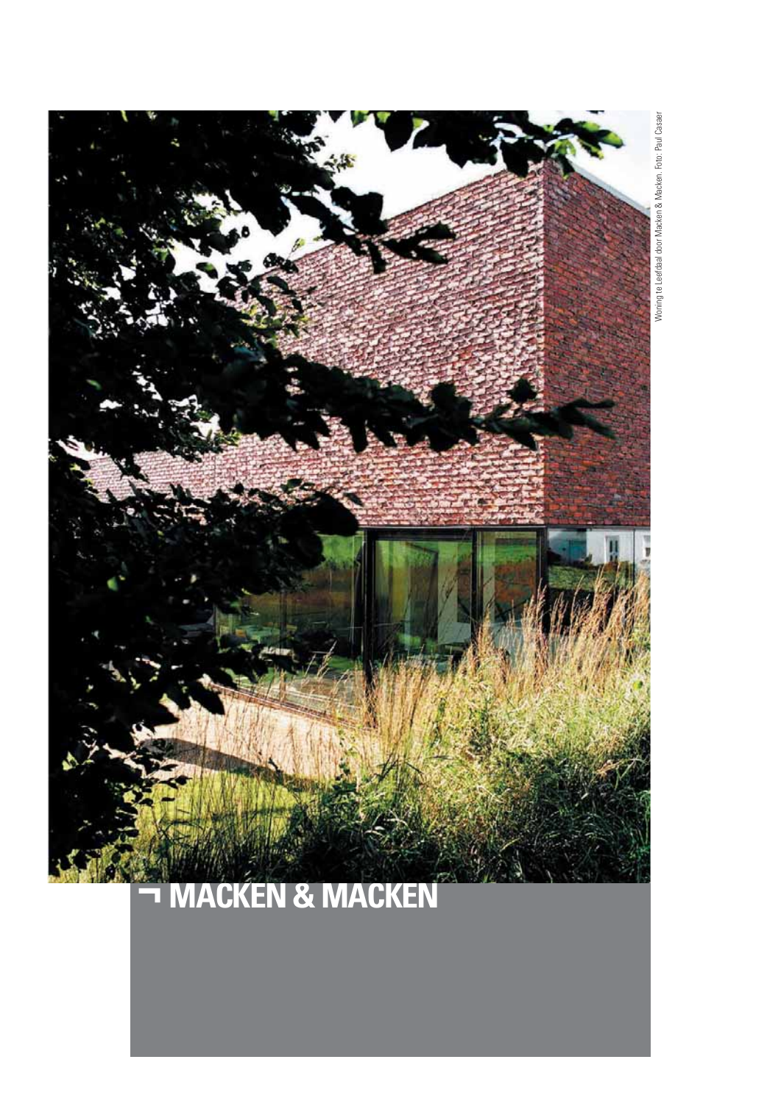

## **MACKEN & MACKEN**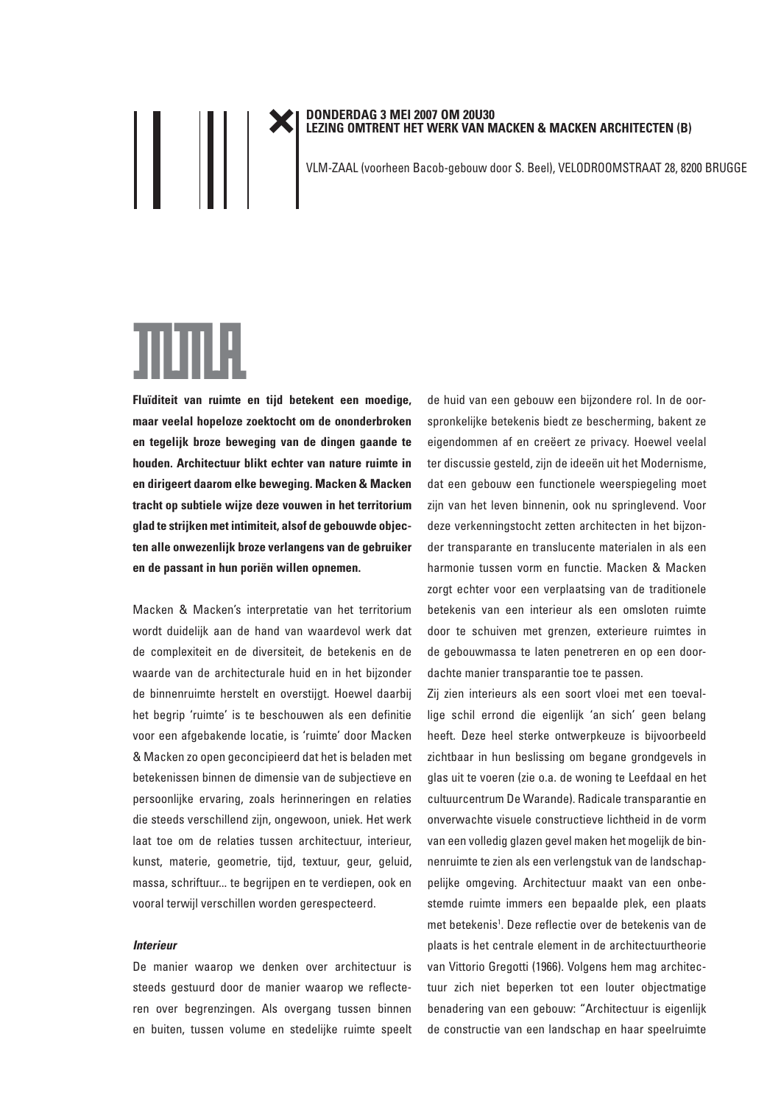### DONDERDAG 3 MEI 2007 OM 20U30<br>LEZING OMTRENT HET WERK VAN MACKEN & MACKEN ARCHITECTEN (B)

VLM-ZAAL (voorheen Bacob-gebouw door S. Beel), VELODROOMSTRAAT 28, 8200 BRUGGE

# <u>TILITLÄ.</u>

 $\mathsf{I} \mathsf{I} \mathsf{I} \mathsf{I} \mathsf{I}$ 

Fluïditeit van ruimte en tijd betekent een moedige, maar veelal hopeloze zoektocht om de ononderbroken en tegelijk broze beweging van de dingen gaande te houden. Architectuur blikt echter van nature ruimte in en dirigeert daarom elke beweging. Macken & Macken tracht op subtiele wijze deze vouwen in het territorium glad te strijken met intimiteit, alsof de gebouwde objecten alle onwezenlijk broze verlangens van de gebruiker en de passant in hun poriën willen opnemen.

Macken & Macken's interpretatie van het territorium wordt duidelijk aan de hand van waardevol werk dat de complexiteit en de diversiteit, de betekenis en de waarde van de architecturale huid en in het bijzonder de binnenruimte herstelt en overstijgt. Hoewel daarbij het begrip 'ruimte' is te beschouwen als een definitie voor een afgebakende locatie, is 'ruimte' door Macken & Macken zo open geconcipieerd dat het is beladen met betekenissen binnen de dimensie van de subjectieve en persoonlijke ervaring, zoals herinneringen en relaties die steeds verschillend zijn, ongewoon, uniek. Het werk laat toe om de relaties tussen architectuur, interieur, kunst, materie, geometrie, tijd, textuur, geur, geluid, massa, schriftuur... te begrijpen en te verdiepen, ook en vooral terwijl verschillen worden gerespecteerd.

### **Interieur**

De manier waarop we denken over architectuur is steeds gestuurd door de manier waarop we reflecteren over begrenzingen. Als overgang tussen binnen en buiten, tussen volume en stedelijke ruimte speelt de huid van een gebouw een bijzondere rol. In de oorspronkelijke betekenis biedt ze bescherming, bakent ze eigendommen af en creëert ze privacy. Hoewel veelal ter discussie gesteld, zijn de ideeën uit het Modernisme, dat een gebouw een functionele weerspiegeling moet zijn van het leven binnenin, ook nu springlevend. Voor deze verkenningstocht zetten architecten in het bijzonder transparante en translucente materialen in als een harmonie tussen vorm en functie. Macken & Macken zorgt echter voor een verplaatsing van de traditionele betekenis van een interieur als een omsloten ruimte door te schuiven met grenzen, exterieure ruimtes in de gebouwmassa te laten penetreren en op een doordachte manier transparantie toe te passen.

Zij zien interieurs als een soort vloei met een toevallige schil errond die eigenlijk 'an sich' geen belang heeft. Deze heel sterke ontwerpkeuze is bijvoorbeeld zichtbaar in hun beslissing om begane grondgevels in glas uit te voeren (zie o.a. de woning te Leefdaal en het cultuurcentrum De Warande). Radicale transparantie en onverwachte visuele constructieve lichtheid in de vorm van een volledig glazen gevel maken het mogelijk de binnenruimte te zien als een verlengstuk van de landschappelijke omgeving. Architectuur maakt van een onbestemde ruimte immers een bepaalde plek, een plaats met betekenis<sup>1</sup>. Deze reflectie over de betekenis van de plaats is het centrale element in de architectuurtheorie van Vittorio Gregotti (1966). Volgens hem mag architectuur zich niet beperken tot een louter objectmatige benadering van een gebouw: "Architectuur is eigenlijk de constructie van een landschap en haar speelruimte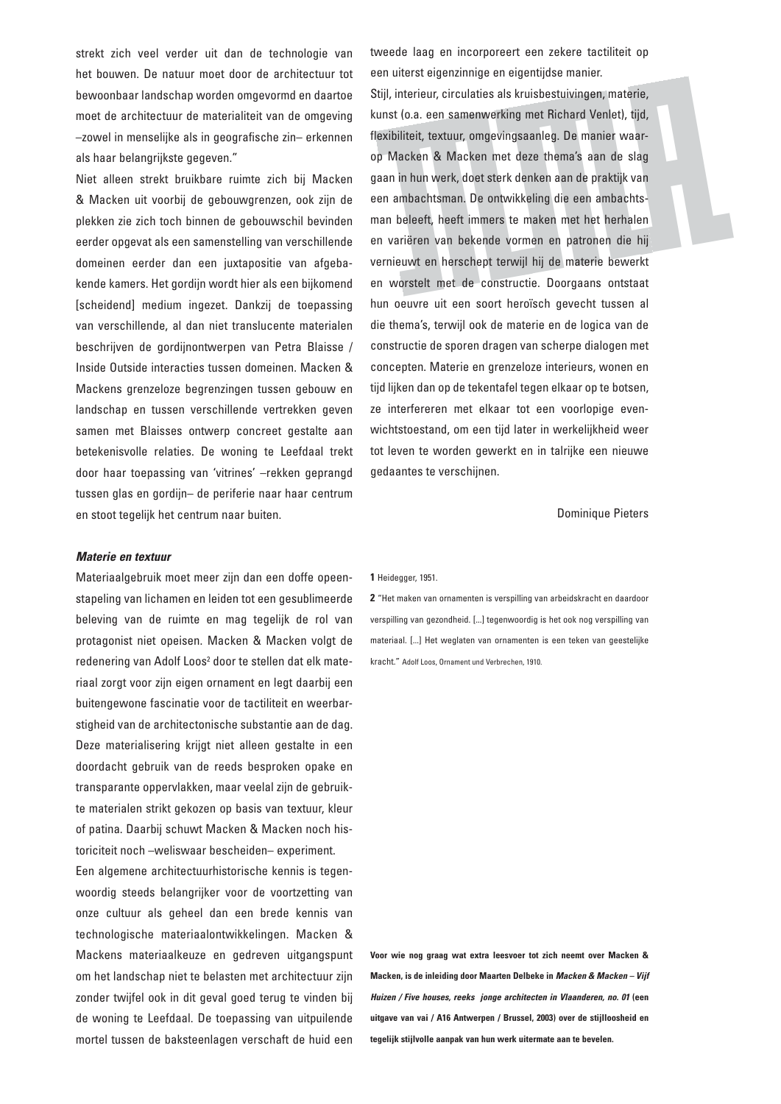strekt zich veel verder uit dan de technologie van het bouwen. De natuur moet door de architectuur tot bewoonbaar landschap worden omgevormd en daartoe moet de architectuur de materialiteit van de omgeving -zowel in menselijke als in geografische zin- erkennen als haar belangrijkste gegeven."

Niet alleen strekt bruikbare ruimte zich bij Macken & Macken uit voorbij de gebouwgrenzen, ook zijn de plekken zie zich toch binnen de gebouwschil bevinden eerder opgevat als een samenstelling van verschillende domeinen eerder dan een juxtapositie van afgebakende kamers. Het gordijn wordt hier als een bijkomend [scheidend] medium ingezet. Dankzij de toepassing van verschillende, al dan niet translucente materialen beschrijven de gordijnontwerpen van Petra Blaisse / Inside Outside interacties tussen domeinen. Macken & Mackens grenzeloze begrenzingen tussen gebouw en landschap en tussen verschillende vertrekken geven samen met Blaisses ontwerp concreet gestalte aan betekenisvolle relaties. De woning te Leefdaal trekt door haar toepassing van 'vitrines' -rekken geprangd tussen glas en gordijn- de periferie naar haar centrum en stoot tegelijk het centrum naar buiten.

#### Materie en textuur

Materiaalgebruik moet meer zijn dan een doffe opeenstapeling van lichamen en leiden tot een gesublimeerde beleving van de ruimte en mag tegelijk de rol van protagonist niet opeisen. Macken & Macken volgt de redenering van Adolf Loos<sup>2</sup> door te stellen dat elk materiaal zorgt voor zijn eigen ornament en legt daarbij een buitengewone fascinatie voor de tactiliteit en weerbarstigheid van de architectonische substantie aan de dag. Deze materialisering krijgt niet alleen gestalte in een doordacht gebruik van de reeds besproken opake en transparante oppervlakken, maar veelal zijn de gebruikte materialen strikt gekozen op basis van textuur, kleur of patina. Daarbij schuwt Macken & Macken noch historiciteit noch -weliswaar bescheiden- experiment.

Een algemene architectuurhistorische kennis is tegenwoordig steeds belangrijker voor de voortzetting van onze cultuur als geheel dan een brede kennis van technologische materiaalontwikkelingen. Macken & Mackens materiaalkeuze en gedreven uitgangspunt om het landschap niet te belasten met architectuur zijn zonder twijfel ook in dit geval goed terug te vinden bij de woning te Leefdaal. De toepassing van uitpuilende mortel tussen de baksteenlagen verschaft de huid een

tweede laag en incorporeert een zekere tactiliteit op een uiterst eigenzinnige en eigentijdse manier. Stijl, interieur, circulaties als kruisbestuivingen, materie, kunst (o.a. een samenwerking met Richard Venlet), tijd, flexibiliteit, textuur, omgevingsaanleg. De manier waarop Macken & Macken met deze thema's aan de slag gaan in hun werk, doet sterk denken aan de praktijk van een ambachtsman. De ontwikkeling die een ambachtsman beleeft, heeft immers te maken met het herhalen en variëren van bekende vormen en patronen die hij vernieuwt en herschept terwijl hij de materie bewerkt en worstelt met de constructie. Doorgaans ontstaat hun oeuvre uit een soort heroïsch gevecht tussen al die thema's, terwijl ook de materie en de logica van de constructie de sporen dragen van scherpe dialogen met concepten. Materie en grenzeloze interieurs, wonen en tijd lijken dan op de tekentafel tegen elkaar op te botsen, ze interfereren met elkaar tot een voorlopige evenwichtstoestand, om een tijd later in werkelijkheid weer tot leven te worden gewerkt en in talrijke een nieuwe gedaantes te verschijnen.

**Dominique Pieters** 

1 Heidegger, 1951.

2 "Het maken van ornamenten is verspilling van arbeidskracht en daardoor verspilling van gezondheid. [...] tegenwoordig is het ook nog verspilling van materiaal. [...] Het weglaten van ornamenten is een teken van geestelijke kracht." Adolf Loos, Ornament und Verbrechen, 1910.

Voor wie nog graag wat extra leesvoer tot zich neemt over Macken & Macken, is de inleiding door Maarten Delbeke in Macken & Macken - Vijf Huizen / Five houses, reeks jonge architecten in Vlaanderen, no. 01 (een uitgave van vai / A16 Antwerpen / Brussel, 2003) over de stijlloosheid en tegelijk stijlvolle aanpak van hun werk uitermate aan te bevelen.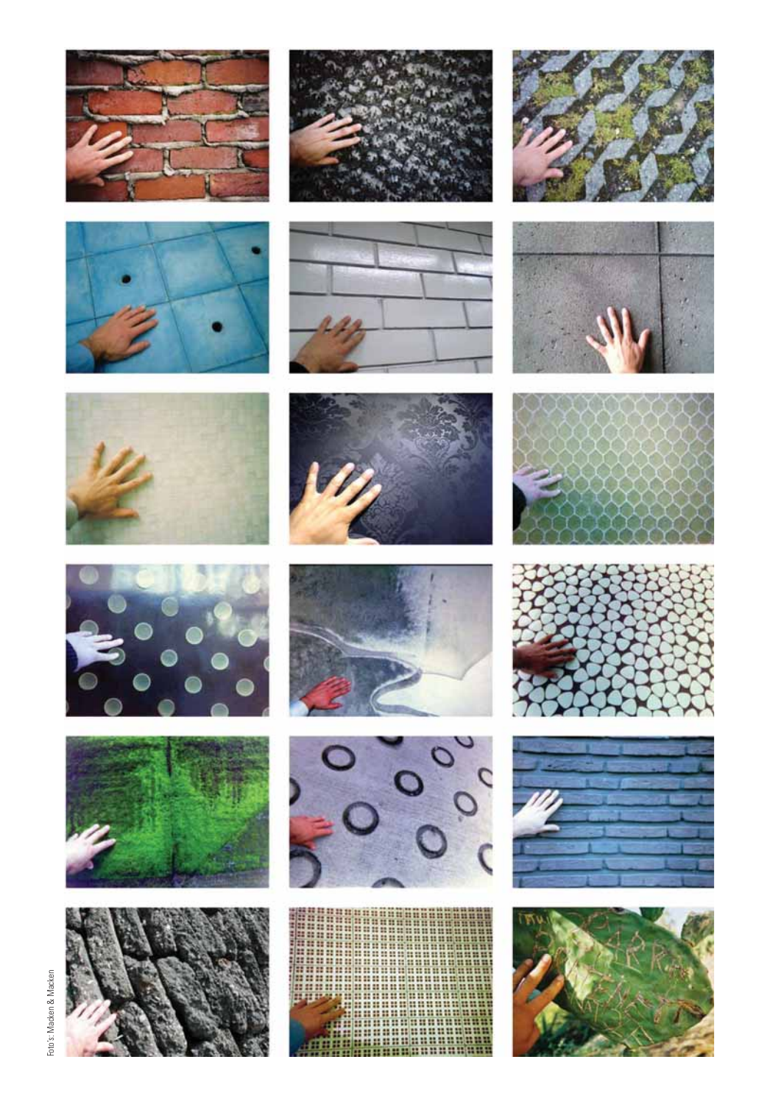